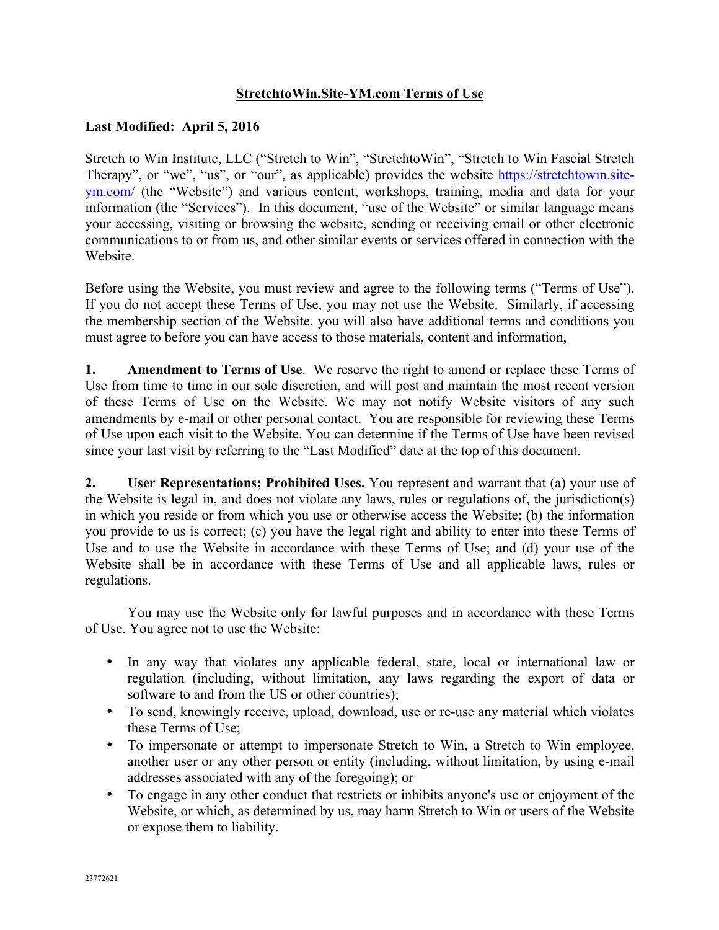# **StretchtoWin.Site-YM.com Terms of Use**

### **Last Modified: April 5, 2016**

Stretch to Win Institute, LLC ("Stretch to Win", "StretchtoWin", "Stretch to Win Fascial Stretch Therapy", or "we", "us", or "our", as applicable) provides the website https://stretchtowin.siteym.com/ (the "Website") and various content, workshops, training, media and data for your information (the "Services"). In this document, "use of the Website" or similar language means your accessing, visiting or browsing the website, sending or receiving email or other electronic communications to or from us, and other similar events or services offered in connection with the **Website** 

Before using the Website, you must review and agree to the following terms ("Terms of Use"). If you do not accept these Terms of Use, you may not use the Website. Similarly, if accessing the membership section of the Website, you will also have additional terms and conditions you must agree to before you can have access to those materials, content and information,

**1. Amendment to Terms of Use**. We reserve the right to amend or replace these Terms of Use from time to time in our sole discretion, and will post and maintain the most recent version of these Terms of Use on the Website. We may not notify Website visitors of any such amendments by e-mail or other personal contact. You are responsible for reviewing these Terms of Use upon each visit to the Website. You can determine if the Terms of Use have been revised since your last visit by referring to the "Last Modified" date at the top of this document.

**2. User Representations; Prohibited Uses.** You represent and warrant that (a) your use of the Website is legal in, and does not violate any laws, rules or regulations of, the jurisdiction(s) in which you reside or from which you use or otherwise access the Website; (b) the information you provide to us is correct; (c) you have the legal right and ability to enter into these Terms of Use and to use the Website in accordance with these Terms of Use; and (d) your use of the Website shall be in accordance with these Terms of Use and all applicable laws, rules or regulations.

You may use the Website only for lawful purposes and in accordance with these Terms of Use. You agree not to use the Website:

- In any way that violates any applicable federal, state, local or international law or regulation (including, without limitation, any laws regarding the export of data or software to and from the US or other countries);
- To send, knowingly receive, upload, download, use or re-use any material which violates these Terms of Use;
- To impersonate or attempt to impersonate Stretch to Win, a Stretch to Win employee, another user or any other person or entity (including, without limitation, by using e-mail addresses associated with any of the foregoing); or
- To engage in any other conduct that restricts or inhibits anyone's use or enjoyment of the Website, or which, as determined by us, may harm Stretch to Win or users of the Website or expose them to liability.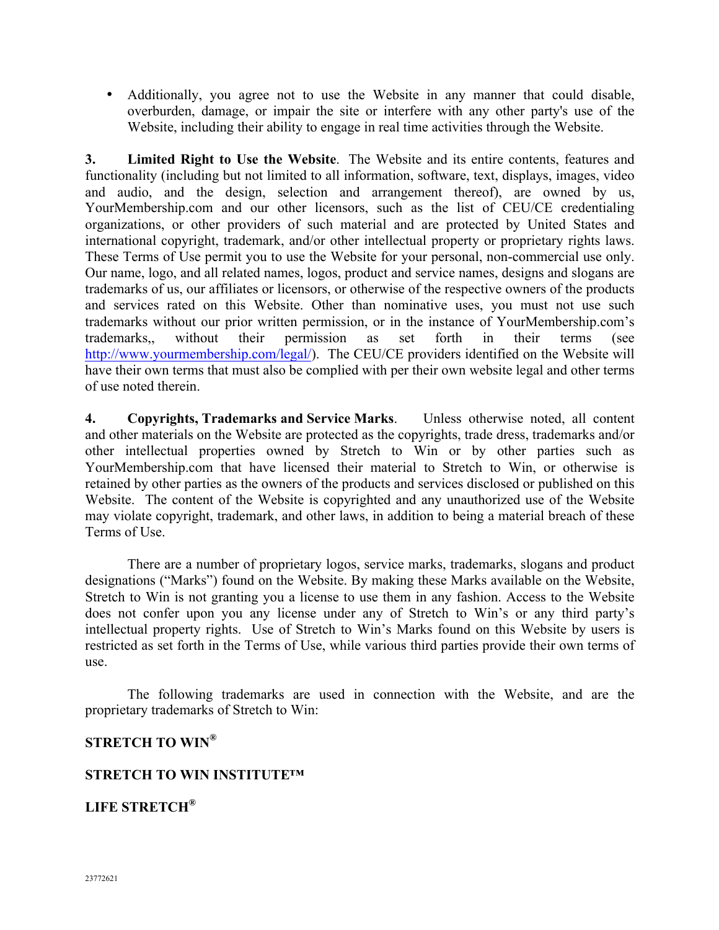• Additionally, you agree not to use the Website in any manner that could disable, overburden, damage, or impair the site or interfere with any other party's use of the Website, including their ability to engage in real time activities through the Website.

**3. Limited Right to Use the Website**. The Website and its entire contents, features and functionality (including but not limited to all information, software, text, displays, images, video and audio, and the design, selection and arrangement thereof), are owned by us, YourMembership.com and our other licensors, such as the list of CEU/CE credentialing organizations, or other providers of such material and are protected by United States and international copyright, trademark, and/or other intellectual property or proprietary rights laws. These Terms of Use permit you to use the Website for your personal, non-commercial use only. Our name, logo, and all related names, logos, product and service names, designs and slogans are trademarks of us, our affiliates or licensors, or otherwise of the respective owners of the products and services rated on this Website. Other than nominative uses, you must not use such trademarks without our prior written permission, or in the instance of YourMembership.com's trademarks,, without their permission as set forth in their terms (see http://www.yourmembership.com/legal/). The CEU/CE providers identified on the Website will have their own terms that must also be complied with per their own website legal and other terms of use noted therein.

**4. Copyrights, Trademarks and Service Marks**. Unless otherwise noted, all content and other materials on the Website are protected as the copyrights, trade dress, trademarks and/or other intellectual properties owned by Stretch to Win or by other parties such as YourMembership.com that have licensed their material to Stretch to Win, or otherwise is retained by other parties as the owners of the products and services disclosed or published on this Website. The content of the Website is copyrighted and any unauthorized use of the Website may violate copyright, trademark, and other laws, in addition to being a material breach of these Terms of Use.

There are a number of proprietary logos, service marks, trademarks, slogans and product designations ("Marks") found on the Website. By making these Marks available on the Website, Stretch to Win is not granting you a license to use them in any fashion. Access to the Website does not confer upon you any license under any of Stretch to Win's or any third party's intellectual property rights. Use of Stretch to Win's Marks found on this Website by users is restricted as set forth in the Terms of Use, while various third parties provide their own terms of use.

The following trademarks are used in connection with the Website, and are the proprietary trademarks of Stretch to Win:

# **STRETCH TO WIN®**

#### **STRETCH TO WIN INSTITUTE™**

**LIFE STRETCH®**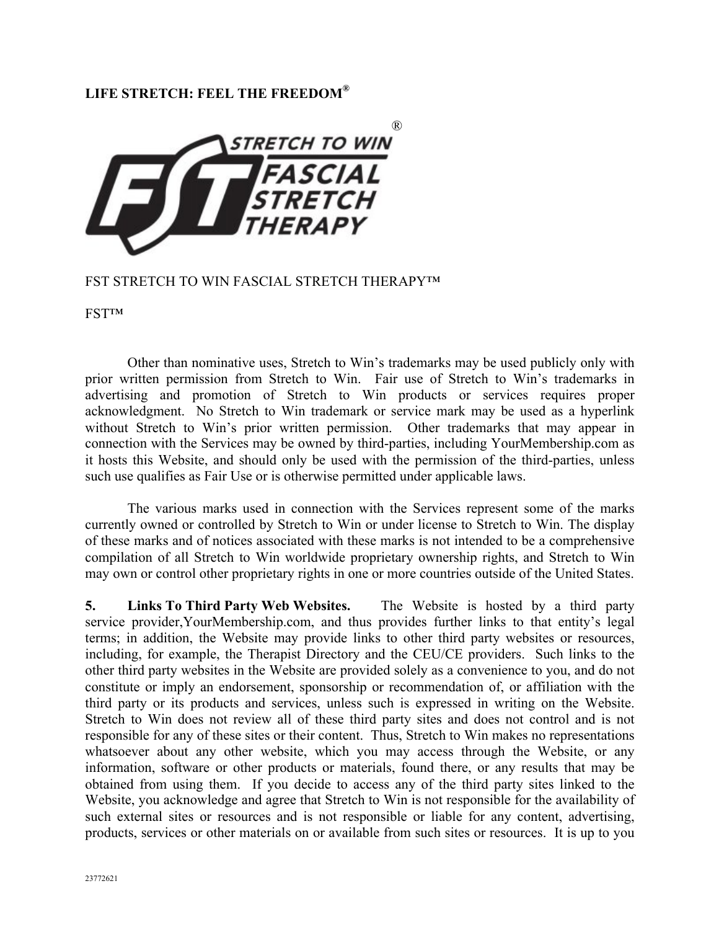### **LIFE STRETCH: FEEL THE FREEDOM®**



#### FST STRETCH TO WIN FASCIAL STRETCH THERAPY™

FST™

Other than nominative uses, Stretch to Win's trademarks may be used publicly only with prior written permission from Stretch to Win. Fair use of Stretch to Win's trademarks in advertising and promotion of Stretch to Win products or services requires proper acknowledgment. No Stretch to Win trademark or service mark may be used as a hyperlink without Stretch to Win's prior written permission. Other trademarks that may appear in connection with the Services may be owned by third-parties, including YourMembership.com as it hosts this Website, and should only be used with the permission of the third-parties, unless such use qualifies as Fair Use or is otherwise permitted under applicable laws.

The various marks used in connection with the Services represent some of the marks currently owned or controlled by Stretch to Win or under license to Stretch to Win. The display of these marks and of notices associated with these marks is not intended to be a comprehensive compilation of all Stretch to Win worldwide proprietary ownership rights, and Stretch to Win may own or control other proprietary rights in one or more countries outside of the United States.

**5. Links To Third Party Web Websites.** The Website is hosted by a third party service provider,YourMembership.com, and thus provides further links to that entity's legal terms; in addition, the Website may provide links to other third party websites or resources, including, for example, the Therapist Directory and the CEU/CE providers. Such links to the other third party websites in the Website are provided solely as a convenience to you, and do not constitute or imply an endorsement, sponsorship or recommendation of, or affiliation with the third party or its products and services, unless such is expressed in writing on the Website. Stretch to Win does not review all of these third party sites and does not control and is not responsible for any of these sites or their content. Thus, Stretch to Win makes no representations whatsoever about any other website, which you may access through the Website, or any information, software or other products or materials, found there, or any results that may be obtained from using them. If you decide to access any of the third party sites linked to the Website, you acknowledge and agree that Stretch to Win is not responsible for the availability of such external sites or resources and is not responsible or liable for any content, advertising, products, services or other materials on or available from such sites or resources. It is up to you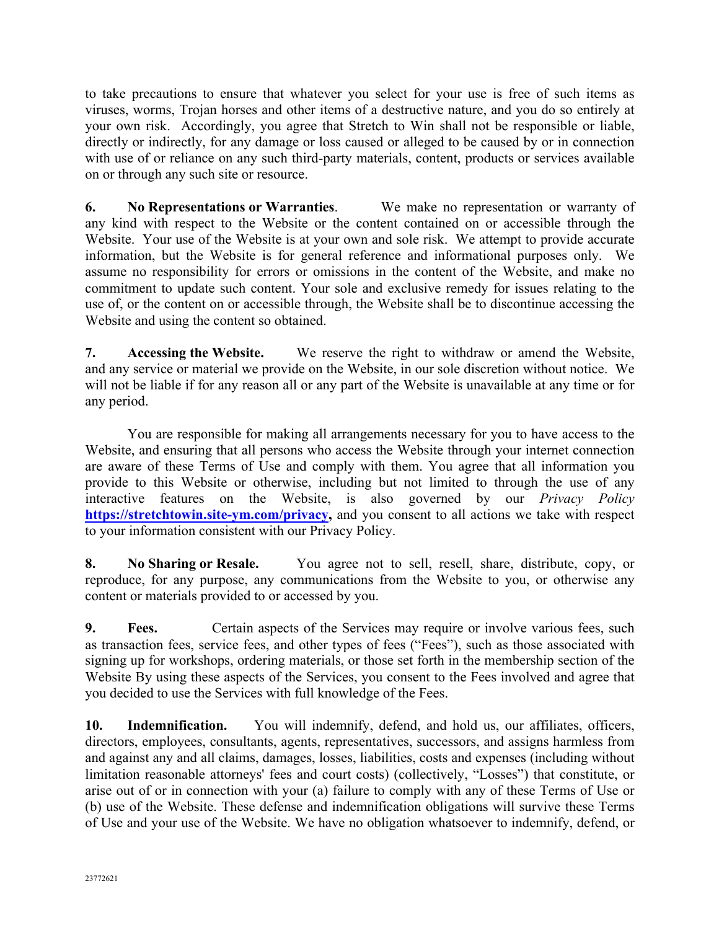to take precautions to ensure that whatever you select for your use is free of such items as viruses, worms, Trojan horses and other items of a destructive nature, and you do so entirely at your own risk. Accordingly, you agree that Stretch to Win shall not be responsible or liable, directly or indirectly, for any damage or loss caused or alleged to be caused by or in connection with use of or reliance on any such third-party materials, content, products or services available on or through any such site or resource.

**6. No Representations or Warranties**. We make no representation or warranty of any kind with respect to the Website or the content contained on or accessible through the Website. Your use of the Website is at your own and sole risk. We attempt to provide accurate information, but the Website is for general reference and informational purposes only. We assume no responsibility for errors or omissions in the content of the Website, and make no commitment to update such content. Your sole and exclusive remedy for issues relating to the use of, or the content on or accessible through, the Website shall be to discontinue accessing the Website and using the content so obtained.

**7. Accessing the Website.** We reserve the right to withdraw or amend the Website, and any service or material we provide on the Website, in our sole discretion without notice. We will not be liable if for any reason all or any part of the Website is unavailable at any time or for any period.

You are responsible for making all arrangements necessary for you to have access to the Website, and ensuring that all persons who access the Website through your internet connection are aware of these Terms of Use and comply with them. You agree that all information you provide to this Website or otherwise, including but not limited to through the use of any interactive features on the Website, is also governed by our *Privacy Policy* **https://stretchtowin.site-ym.com/privacy,** and you consent to all actions we take with respect to your information consistent with our Privacy Policy.

**8. No Sharing or Resale.** You agree not to sell, resell, share, distribute, copy, or reproduce, for any purpose, any communications from the Website to you, or otherwise any content or materials provided to or accessed by you.

**9. Fees.** Certain aspects of the Services may require or involve various fees, such as transaction fees, service fees, and other types of fees ("Fees"), such as those associated with signing up for workshops, ordering materials, or those set forth in the membership section of the Website By using these aspects of the Services, you consent to the Fees involved and agree that you decided to use the Services with full knowledge of the Fees.

**10. Indemnification.** You will indemnify, defend, and hold us, our affiliates, officers, directors, employees, consultants, agents, representatives, successors, and assigns harmless from and against any and all claims, damages, losses, liabilities, costs and expenses (including without limitation reasonable attorneys' fees and court costs) (collectively, "Losses") that constitute, or arise out of or in connection with your (a) failure to comply with any of these Terms of Use or (b) use of the Website. These defense and indemnification obligations will survive these Terms of Use and your use of the Website. We have no obligation whatsoever to indemnify, defend, or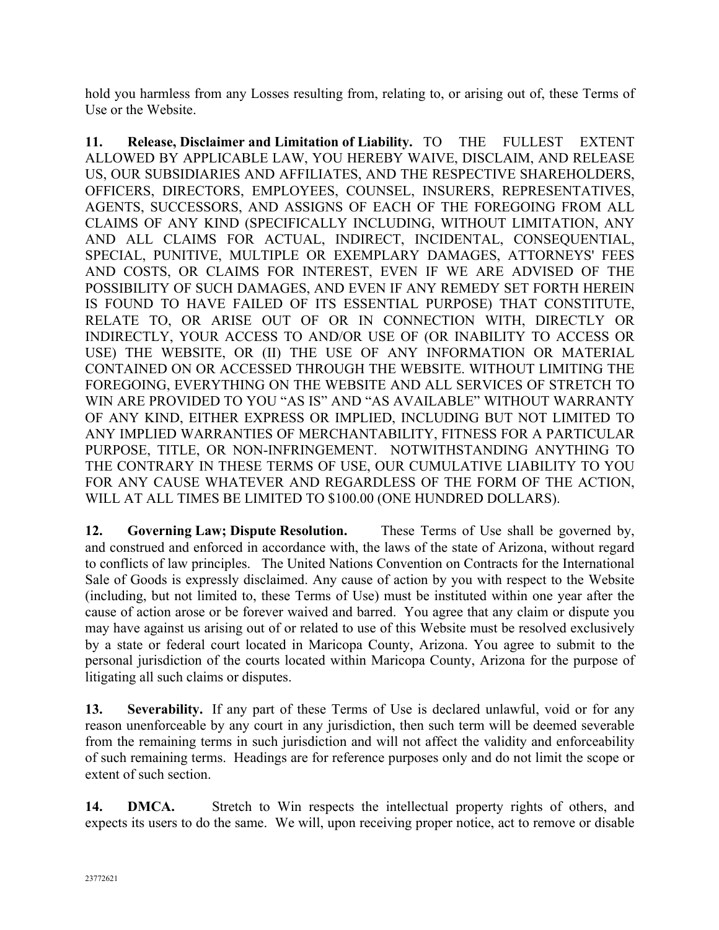hold you harmless from any Losses resulting from, relating to, or arising out of, these Terms of Use or the Website.

**11. Release, Disclaimer and Limitation of Liability.** TO THE FULLEST EXTENT ALLOWED BY APPLICABLE LAW, YOU HEREBY WAIVE, DISCLAIM, AND RELEASE US, OUR SUBSIDIARIES AND AFFILIATES, AND THE RESPECTIVE SHAREHOLDERS, OFFICERS, DIRECTORS, EMPLOYEES, COUNSEL, INSURERS, REPRESENTATIVES, AGENTS, SUCCESSORS, AND ASSIGNS OF EACH OF THE FOREGOING FROM ALL CLAIMS OF ANY KIND (SPECIFICALLY INCLUDING, WITHOUT LIMITATION, ANY AND ALL CLAIMS FOR ACTUAL, INDIRECT, INCIDENTAL, CONSEQUENTIAL, SPECIAL, PUNITIVE, MULTIPLE OR EXEMPLARY DAMAGES, ATTORNEYS' FEES AND COSTS, OR CLAIMS FOR INTEREST, EVEN IF WE ARE ADVISED OF THE POSSIBILITY OF SUCH DAMAGES, AND EVEN IF ANY REMEDY SET FORTH HEREIN IS FOUND TO HAVE FAILED OF ITS ESSENTIAL PURPOSE) THAT CONSTITUTE, RELATE TO, OR ARISE OUT OF OR IN CONNECTION WITH, DIRECTLY OR INDIRECTLY, YOUR ACCESS TO AND/OR USE OF (OR INABILITY TO ACCESS OR USE) THE WEBSITE, OR (II) THE USE OF ANY INFORMATION OR MATERIAL CONTAINED ON OR ACCESSED THROUGH THE WEBSITE. WITHOUT LIMITING THE FOREGOING, EVERYTHING ON THE WEBSITE AND ALL SERVICES OF STRETCH TO WIN ARE PROVIDED TO YOU "AS IS" AND "AS AVAILABLE" WITHOUT WARRANTY OF ANY KIND, EITHER EXPRESS OR IMPLIED, INCLUDING BUT NOT LIMITED TO ANY IMPLIED WARRANTIES OF MERCHANTABILITY, FITNESS FOR A PARTICULAR PURPOSE, TITLE, OR NON-INFRINGEMENT. NOTWITHSTANDING ANYTHING TO THE CONTRARY IN THESE TERMS OF USE, OUR CUMULATIVE LIABILITY TO YOU FOR ANY CAUSE WHATEVER AND REGARDLESS OF THE FORM OF THE ACTION, WILL AT ALL TIMES BE LIMITED TO \$100.00 (ONE HUNDRED DOLLARS).

**12. Governing Law; Dispute Resolution.** These Terms of Use shall be governed by, and construed and enforced in accordance with, the laws of the state of Arizona, without regard to conflicts of law principles. The United Nations Convention on Contracts for the International Sale of Goods is expressly disclaimed. Any cause of action by you with respect to the Website (including, but not limited to, these Terms of Use) must be instituted within one year after the cause of action arose or be forever waived and barred. You agree that any claim or dispute you may have against us arising out of or related to use of this Website must be resolved exclusively by a state or federal court located in Maricopa County, Arizona. You agree to submit to the personal jurisdiction of the courts located within Maricopa County, Arizona for the purpose of litigating all such claims or disputes.

**13. Severability.** If any part of these Terms of Use is declared unlawful, void or for any reason unenforceable by any court in any jurisdiction, then such term will be deemed severable from the remaining terms in such jurisdiction and will not affect the validity and enforceability of such remaining terms. Headings are for reference purposes only and do not limit the scope or extent of such section.

14. **DMCA.** Stretch to Win respects the intellectual property rights of others, and expects its users to do the same. We will, upon receiving proper notice, act to remove or disable